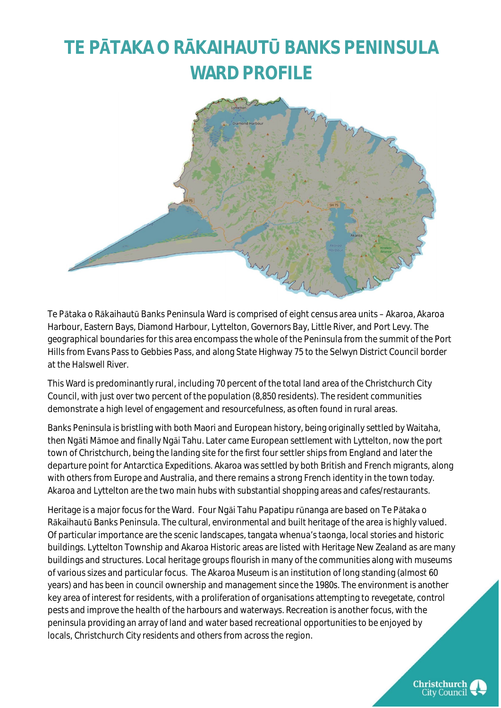### **TE PĀTAKA O RĀKAIHAUTŪ BANKS PENINSULA WARD PROFILE**



Te Pātaka o Rākaihautū Banks Peninsula Ward is comprised of eight census area units – Akaroa, Akaroa Harbour, Eastern Bays, Diamond Harbour, Lyttelton, Governors Bay, Little River, and Port Levy. The geographical boundaries for this area encompass the whole of the Peninsula from the summit of the Port Hills from Evans Pass to Gebbies Pass, and along State Highway 75 to the Selwyn District Council border at the Halswell River.

This Ward is predominantly rural, including 70 percent of the total land area of the Christchurch City Council, with just over two percent of the population (8,850 residents). The resident communities demonstrate a high level of engagement and resourcefulness, as often found in rural areas.

Banks Peninsula is bristling with both Maori and European history, being originally settled by Waitaha, then Ngāti Mā[moe](https://my.christchurchcitylibraries.com/ti-kouka-whenua/ngati-mamoe/) and finally Ngāi Tahu. Later came European settlement with Lyttelton, now the port town of Christchurch, being the landing site for the first four settler ships from England and later the departure point for Antarctica Expeditions. Akaroa was settled by both British and French migrants, along with others from Europe and Australia, and there remains a strong French identity in the town today. Akaroa and Lyttelton are the two main hubs with substantial shopping areas and cafes/restaurants.

Heritage is a major focus for the Ward. Four Ngāi Tahu Papatipu rūnanga are based on Te Pātaka o Rākaihautū Banks Peninsula. The cultural, environmental and built heritage of the area is highly valued. Of particular importance are the scenic landscapes, tangata whenua's taonga, local stories and historic buildings. Lyttelton Township and Akaroa Historic areas are listed with Heritage New Zealand as are many buildings and structures. Local heritage groups flourish in many of the communities along with museums of various sizes and particular focus. The Akaroa Museum is an institution of long standing (almost 60 years) and has been in council ownership and management since the 1980s. The environment is another key area of interest for residents, with a proliferation of organisations attempting to revegetate, control pests and improve the health of the harbours and waterways. Recreation is another focus, with the peninsula providing an array of land and water based recreational opportunities to be enjoyed by locals, Christchurch City residents and others from across the region.

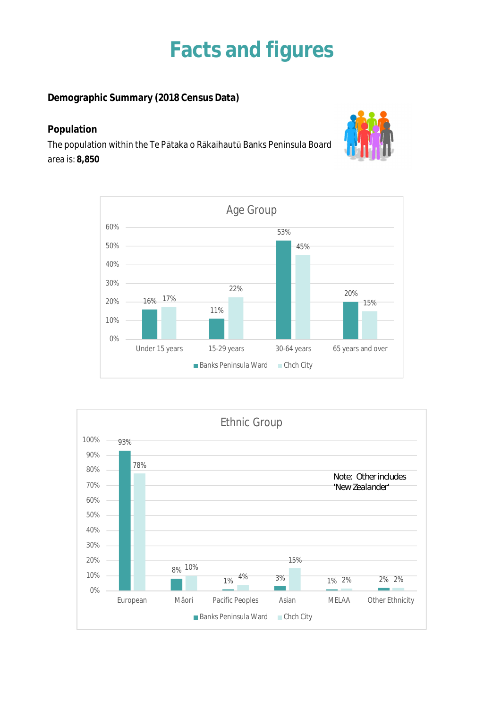## **Facts and figures**

**Demographic Summary (2018 Census Data)**

### **Population**

The population within the Te Pātaka o Rākaihautū Banks Peninsula Board area is: **8,850**





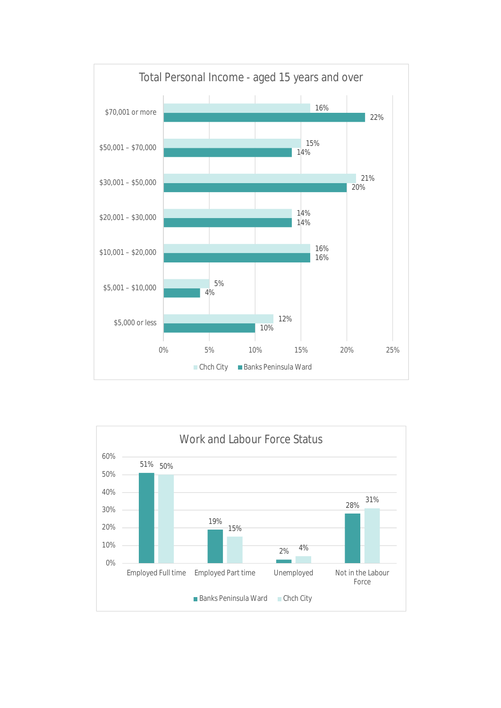

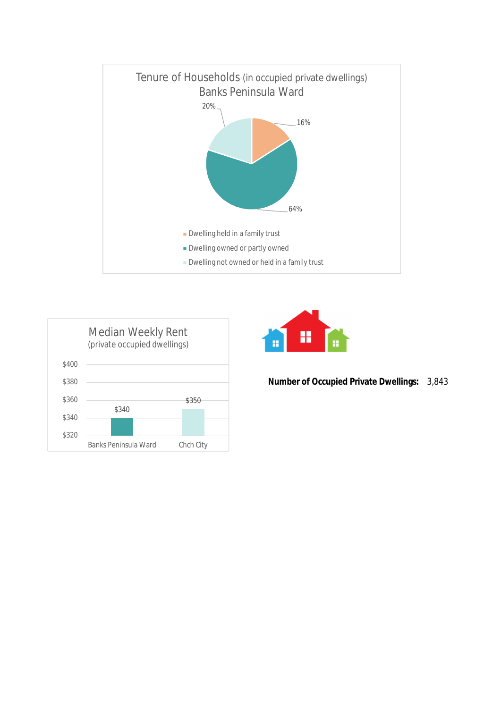





**Number of Occupied Private Dwellings:** 3,843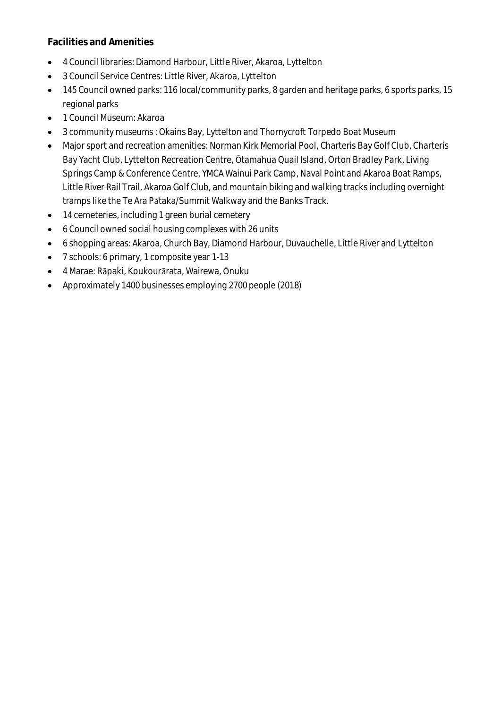#### **Facilities and Amenities**

- 4 Council libraries: Diamond Harbour, Little River, Akaroa, Lyttelton
- 3 Council Service Centres: Little River, Akaroa, Lyttelton
- 145 Council owned parks: 116 local/community parks, 8 garden and heritage parks, 6 sports parks, 15 regional parks
- 1 Council Museum: Akaroa
- 3 community museums : Okains Bay, Lyttelton and Thornycroft Torpedo Boat Museum
- Major sport and recreation amenities: Norman Kirk Memorial Pool, Charteris Bay Golf Club, Charteris Bay Yacht Club, Lyttelton Recreation Centre, Ōtamahua Quail Island, Orton Bradley Park, Living Springs Camp & Conference Centre, YMCA Wainui Park Camp, Naval Point and Akaroa Boat Ramps, Little River Rail Trail, Akaroa Golf Club, and mountain biking and walking tracks including overnight tramps like the Te Ara Pātaka/Summit Walkway and the Banks Track.
- 14 cemeteries, including 1 green burial cemetery
- 6 Council owned social housing complexes with 26 units
- 6 shopping areas: Akaroa, Church Bay, Diamond Harbour, Duvauchelle, Little River and Lyttelton
- 7 schools: 6 primary, 1 composite year 1-13
- 4 Marae: Rāpaki, Koukourārata, Wairewa, Ōnuku
- Approximately 1400 businesses employing 2700 people (2018)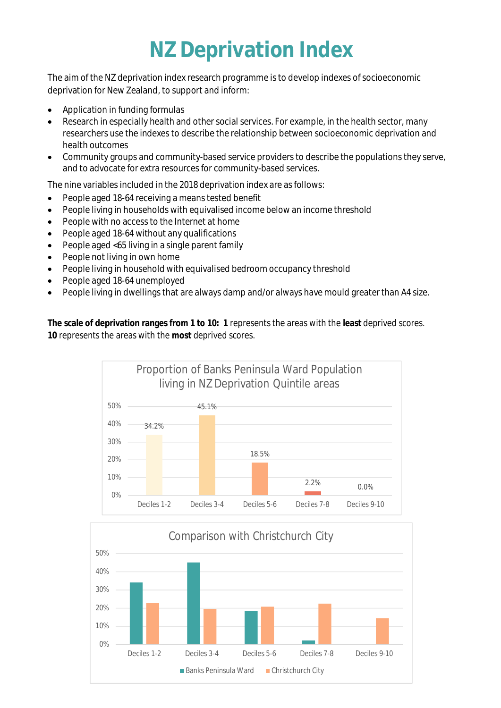## **NZ Deprivation Index**

The aim of the NZ deprivation index research programme is to develop indexes of socioeconomic deprivation for New Zealand, to support and inform:

- Application in funding formulas
- Research in especially health and other social services. For example, in the health sector, many researchers use the indexes to describe the relationship between socioeconomic deprivation and health outcomes
- Community groups and community-based service providers to describe the populations they serve, and to advocate for extra resources for community-based services.

The nine variables included in the 2018 deprivation index are as follows:

- People aged 18-64 receiving a means tested benefit
- People living in households with equivalised income below an income threshold
- People with no access to the Internet at home
- People aged 18-64 without any qualifications
- People aged <65 living in a single parent family
- People not living in own home
- People living in household with equivalised bedroom occupancy threshold
- People aged 18-64 unemployed
- People living in dwellings that are always damp and/or always have mould greater than A4 size.

**The scale of deprivation ranges from 1 to 10: 1** represents the areas with the **least** deprived scores. **10** represents the areas with the **most** deprived scores.



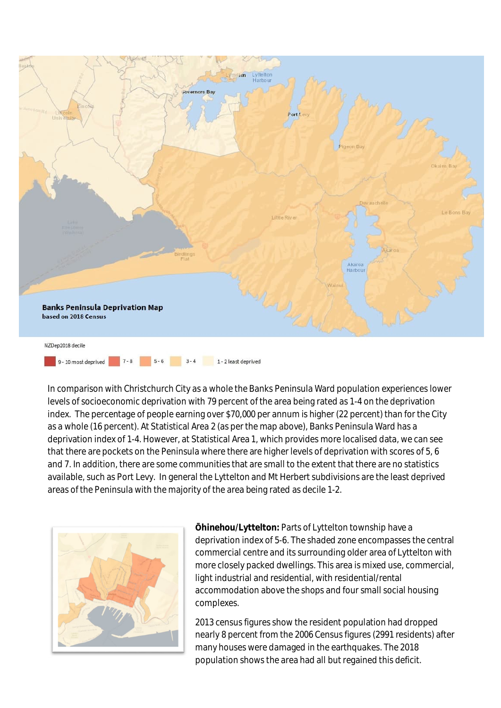

5-6 3-4 1-2 least deprived 9 - 10 most deprived  $7 - 8$ 

In comparison with Christchurch City as a whole the Banks Peninsula Ward population experiences lower levels of socioeconomic deprivation with 79 percent of the area being rated as 1-4 on the deprivation index. The percentage of people earning over \$70,000 per annum is higher (22 percent) than for the City as a whole (16 percent). At Statistical Area 2 (as per the map above), Banks Peninsula Ward has a deprivation index of 1-4. However, at Statistical Area 1, which provides more localised data, we can see that there are pockets on the Peninsula where there are higher levels of deprivation with scores of 5, 6 and 7. In addition, there are some communities that are small to the extent that there are no statistics available, such as Port Levy. In general the Lyttelton and Mt Herbert subdivisions are the least deprived areas of the Peninsula with the majority of the area being rated as decile 1-2.



**Ōhinehou/Lyttelton:** Parts of Lyttelton township have a deprivation index of 5-6. The shaded zone encompasses the central commercial centre and its surrounding older area of Lyttelton with more closely packed dwellings. This area is mixed use, commercial, light industrial and residential, with residential/rental accommodation above the shops and four small social housing complexes.

2013 census figures show the resident population had dropped nearly 8 percent from the 2006 Census figures (2991 residents) after many houses were damaged in the earthquakes. The 2018 population shows the area had all but regained this deficit.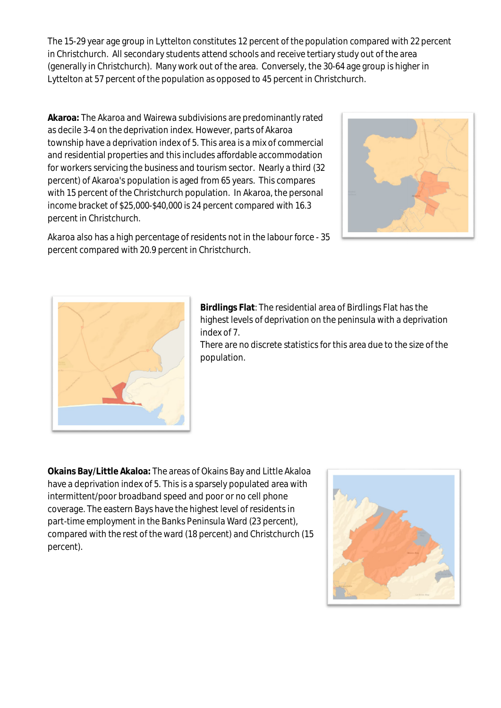The 15-29 year age group in Lyttelton constitutes 12 percent of the population compared with 22 percent in Christchurch. All secondary students attend schools and receive tertiary study out of the area (generally in Christchurch). Many work out of the area. Conversely, the 30-64 age group is higher in Lyttelton at 57 percent of the population as opposed to 45 percent in Christchurch.

**Akaroa:** The Akaroa and Wairewa subdivisions are predominantly rated as decile 3-4 on the deprivation index. However, parts of Akaroa township have a deprivation index of 5. This area is a mix of commercial and residential properties and this includes affordable accommodation for workers servicing the business and tourism sector. Nearly a third (32 percent) of Akaroa's population is aged from 65 years. This compares with 15 percent of the Christchurch population. In Akaroa, the personal income bracket of \$25,000-\$40,000 is 24 percent compared with 16.3 percent in Christchurch.



Akaroa also has a high percentage of residents not in the labour force - 35 percent compared with 20.9 percent in Christchurch.



**Birdlings Flat**: The residential area of Birdlings Flat has the highest levels of deprivation on the peninsula with a deprivation index of 7.

There are no discrete statistics for this area due to the size of the population.

**Okains Bay/Little Akaloa:** The areas of Okains Bay and Little Akaloa have a deprivation index of 5. This is a sparsely populated area with intermittent/poor broadband speed and poor or no cell phone coverage. The eastern Bays have the highest level of residents in part-time employment in the Banks Peninsula Ward (23 percent), compared with the rest of the ward (18 percent) and Christchurch (15 percent).

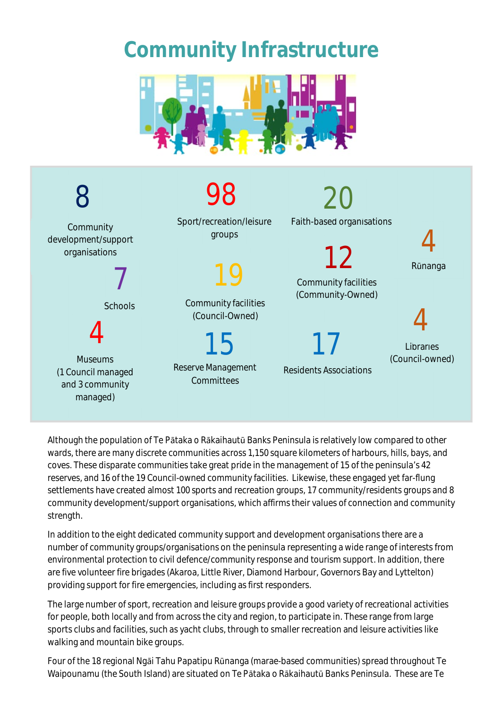## **Community Infrastructure**





Although the population of Te Pātaka o Rākaihautū Banks Peninsula is relatively low compared to other wards, there are many discrete communities across 1,150 square kilometers of harbours, hills, bays, and coves. These disparate communities take great pride in the management of 15 of the peninsula's 42 reserves, and 16 of the 19 Council-owned community facilities. Likewise, these engaged yet far-flung settlements have created almost 100 sports and recreation groups, 17 community/residents groups and 8 community development/support organisations, which affirms their values of connection and community strength.

In addition to the eight dedicated community support and development organisations there are a number of community groups/organisations on the peninsula representing a wide range of interests from environmental protection to civil defence/community response and tourism support. In addition, there are five volunteer fire brigades (Akaroa, Little River, Diamond Harbour, Governors Bay and Lyttelton) providing support for fire emergencies, including as first responders.

The large number of sport, recreation and leisure groups provide a good variety of recreational activities for people, both locally and from across the city and region, to participate in. These range from large sports clubs and facilities, such as yacht clubs, through to smaller recreation and leisure activities like walking and mountain bike groups.

Four of the 18 regional Ngāi Tahu Papatipu Rūnanga (marae-based communities) spread throughout Te Waipounamu (the South Island) are situated on Te Pātaka o Rākaihautū Banks Peninsula. These are Te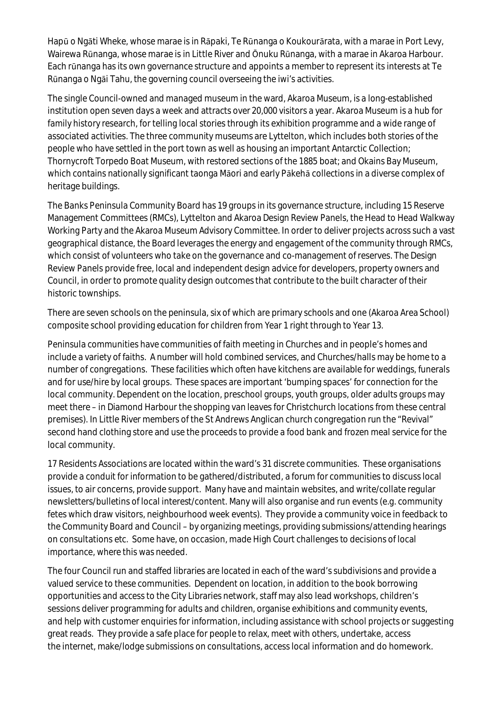Hapū o Ngāti Wheke, whose marae is in Rāpaki, Te Rūnanga o Koukourārata, with a marae in Port Levy, Wairewa Rūnanga, whose marae is in Little River and Ōnuku Rūnanga, with a marae in Akaroa Harbour. Each rūnanga has its own governance structure and appoints a member to represent its interests at Te Rūnanga o Ngāi Tahu, the governing council overseeing the iwi's activities.

The single Council-owned and managed museum in the ward, Akaroa Museum, is a long-established institution open seven days a week and attracts over 20,000 visitors a year. Akaroa Museum is a hub for family history research, for telling local stories through its exhibition programme and a wide range of associated activities. The three community museums are Lyttelton, which includes both stories of the people who have settled in the port town as well as housing an important Antarctic Collection; Thornycroft Torpedo Boat Museum, with restored sections of the 1885 boat; and Okains Bay Museum, which contains nationally significant [taonga M](https://okainsbaymuseum.co.nz/exhibits/whare-taonga/)āori and early Pākehā collections in a diverse complex of heritage buildings.

The Banks Peninsula Community Board has 19 groups in its governance structure, including 15 Reserve Management Committees (RMCs), Lyttelton and Akaroa Design Review Panels, the Head to Head Walkway Working Party and the Akaroa Museum Advisory Committee. In order to deliver projects across such a vast geographical distance, the Board leverages the energy and engagement of the community through RMCs, which consist of volunteers who take on the governance and co-management of reserves. The Design Review Panels provide free, local and independent design advice for developers, property owners and Council, in order to promote quality design outcomes that contribute to the built character of their historic townships.

There are seven schools on the peninsula, six of which are primary schools and one (Akaroa Area School) composite school providing education for children from Year 1 right through to Year 13.

Peninsula communities have communities of faith meeting in Churches and in people's homes and include a variety of faiths. A number will hold combined services, and Churches/halls may be home to a number of congregations. These facilities which often have kitchens are available for weddings, funerals and for use/hire by local groups. These spaces are important 'bumping spaces' for connection for the local community. Dependent on the location, preschool groups, youth groups, older adults groups may meet there – in Diamond Harbour the shopping van leaves for Christchurch locations from these central premises). In Little River members of the St Andrews Anglican church congregation run the "Revival" second hand clothing store and use the proceeds to provide a food bank and frozen meal service for the local community.

17 Residents Associations are located within the ward's 31 discrete communities. These organisations provide a conduit for information to be gathered/distributed, a forum for communities to discuss local issues, to air concerns, provide support. Many have and maintain websites, and write/collate regular newsletters/bulletins of local interest/content. Many will also organise and run events (e.g. community fetes which draw visitors, neighbourhood week events). They provide a community voice in feedback to the Community Board and Council – by organizing meetings, providing submissions/attending hearings on consultations etc. Some have, on occasion, made High Court challenges to decisions of local importance, where this was needed.

The four Council run and staffed libraries are located in each of the ward's subdivisions and provide a valued service to these communities. Dependent on location, in addition to the book borrowing opportunities and access to the City Libraries network, staff may also lead workshops, children's sessions deliver programming for adults and children, organise exhibitions and community events, and help with customer enquiries for information, including assistance with school projects or suggesting great reads. They provide a safe place for people to relax, meet with others, undertake, access the internet, make/lodge submissions on consultations, access local information and do homework.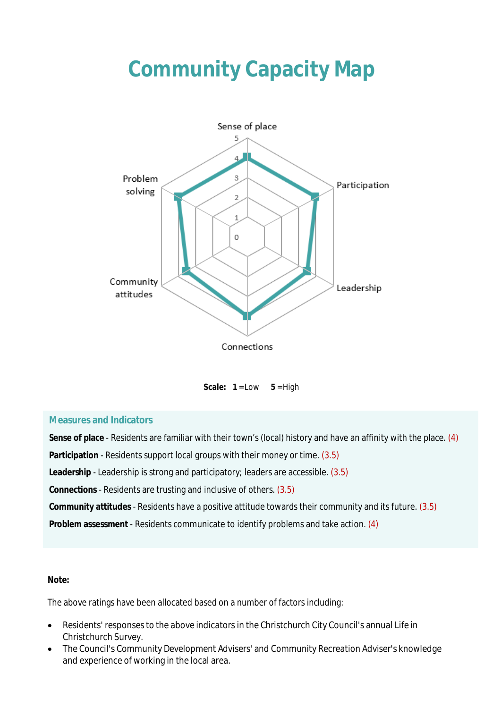## **Community Capacity Map**



Scale:  $1 = Low \t 5 = High$ 

#### **Measures and Indicators**

**Sense of place** - Residents are familiar with their town's (local) history and have an affinity with the place. (4) **Participation** - Residents support local groups with their money or time. (3.5) **Leadership** - Leadership is strong and participatory; leaders are accessible. (3.5) **Connections** - Residents are trusting and inclusive of others. (3.5) **Community attitudes** - Residents have a positive attitude towards their community and its future. (3.5) **Problem assessment** - Residents communicate to identify problems and take action. (4)

#### **Note:**

The above ratings have been allocated based on a number of factors including:

- Residents' responses to the above indicators in the Christchurch City Council's annual Life in Christchurch Survey.
- The Council's Community Development Advisers' and Community Recreation Adviser's knowledge and experience of working in the local area.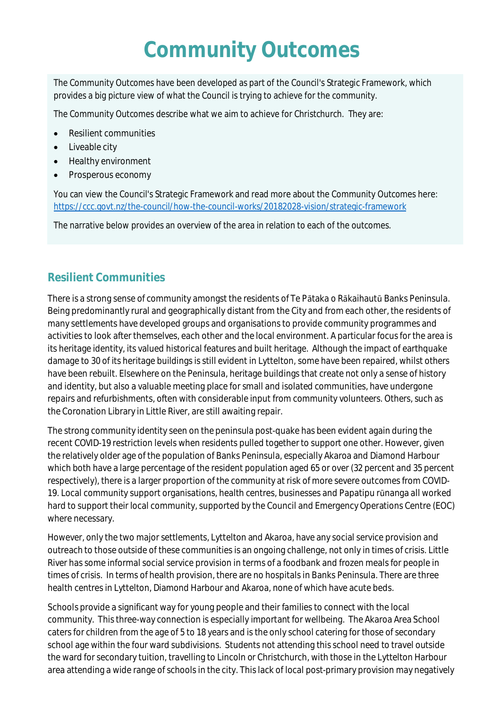## **Community Outcomes**

The Community Outcomes have been developed as part of the Council's Strategic Framework, which provides a big picture view of what the Council is trying to achieve for the community.

The Community Outcomes describe what we aim to achieve for Christchurch. They are:

- Resilient communities
- Liveable city
- Healthy environment
- Prosperous economy

You can view the Council's Strategic Framework and read more about the Community Outcomes here: <https://ccc.govt.nz/the-council/how-the-council-works/20182028-vision/strategic-framework>

The narrative below provides an overview of the area in relation to each of the outcomes.

### **Resilient Communities**

There is a strong sense of community amongst the residents of Te Pātaka o Rākaihautū Banks Peninsula. Being predominantly rural and geographically distant from the City and from each other, the residents of many settlements have developed groups and organisations to provide community programmes and activities to look after themselves, each other and the local environment. A particular focus for the area is its heritage identity, its valued historical features and built heritage. Although the impact of earthquake damage to 30 of its heritage buildings is still evident in Lyttelton, some have been repaired, whilst others have been rebuilt. Elsewhere on the Peninsula, heritage buildings that create not only a sense of history and identity, but also a valuable meeting place for small and isolated communities, have undergone repairs and refurbishments, often with considerable input from community volunteers. Others, such as the Coronation Library in Little River, are still awaiting repair.

The strong community identity seen on the peninsula post-quake has been evident again during the recent COVID-19 restriction levels when residents pulled together to support one other. However, given the relatively older age of the population of Banks Peninsula, especially Akaroa and Diamond Harbour which both have a large percentage of the resident population aged 65 or over (32 percent and 35 percent respectively), there is a larger proportion of the community at risk of more severe outcomes from COVID-19. Local community support organisations, health centres, businesses and Papatipu rūnanga all worked hard to support their local community, supported by the Council and Emergency Operations Centre (EOC) where necessary.

However, only the two major settlements, Lyttelton and Akaroa, have any social service provision and outreach to those outside of these communities is an ongoing challenge, not only in times of crisis. Little River has some informal social service provision in terms of a foodbank and frozen meals for people in times of crisis. In terms of health provision, there are no hospitals in Banks Peninsula. There are three health centres in Lyttelton, Diamond Harbour and Akaroa, none of which have acute beds.

Schools provide a significant way for young people and their families to connect with the local community. This three-way connection is especially important for wellbeing. The Akaroa Area School caters for children from the age of 5 to 18 years and is the only school catering for those of secondary school age within the four ward subdivisions. Students not attending this school need to travel outside the ward for secondary tuition, travelling to Lincoln or Christchurch, with those in the Lyttelton Harbour area attending a wide range of schools in the city. This lack of local post-primary provision may negatively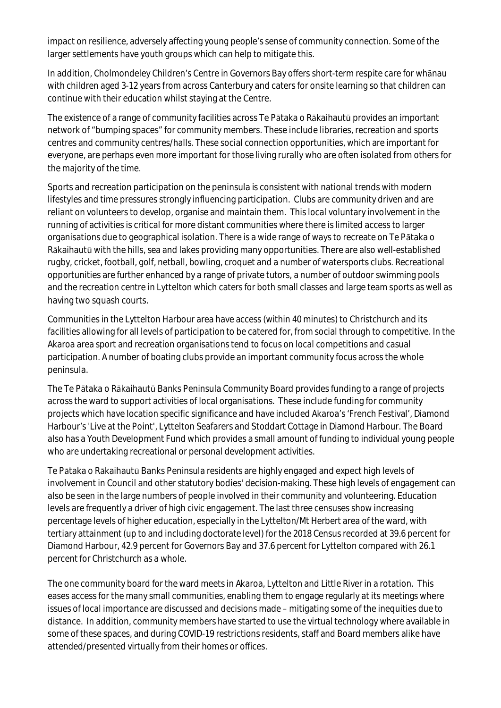impact on resilience, adversely affecting young people's sense of community connection. Some of the larger settlements have youth groups which can help to mitigate this.

In addition, Cholmondeley Children's Centre in Governors Bay offers short-term respite care for whānau with children aged 3-12 years from across Canterbury and caters for onsite learning so that children can continue with their education whilst staying at the Centre.

The existence of a range of community facilities across Te Pātaka o Rākaihautū provides an important network of "bumping spaces" for community members. These include libraries, recreation and sports centres and community centres/halls. These social connection opportunities, which are important for everyone, are perhaps even more important for those living rurally who are often isolated from others for the majority of the time.

Sports and recreation participation on the peninsula is consistent with national trends with modern lifestyles and time pressures strongly influencing participation. Clubs are community driven and are reliant on volunteers to develop, organise and maintain them. This local voluntary involvement in the running of activities is critical for more distant communities where there is limited access to larger organisations due to geographical isolation. There is a wide range of ways to recreate on Te Pātaka o Rākaihautū with the hills, sea and lakes providing many opportunities. There are also well-established rugby, cricket, football, golf, netball, bowling, croquet and a number of watersports clubs. Recreational opportunities are further enhanced by a range of private tutors, a number of outdoor swimming pools and the recreation centre in Lyttelton which caters for both small classes and large team sports as well as having two squash courts.

Communities in the Lyttelton Harbour area have access (within 40 minutes) to Christchurch and its facilities allowing for all levels of participation to be catered for, from social through to competitive. In the Akaroa area sport and recreation organisations tend to focus on local competitions and casual participation. A number of boating clubs provide an important community focus across the whole peninsula.

The Te Pātaka o Rākaihautū Banks Peninsula Community Board provides funding to a range of projects across the ward to support activities of local organisations. These include funding for community projects which have location specific significance and have included Akaroa's 'French Festival', Diamond Harbour's 'Live at the Point', Lyttelton Seafarers and Stoddart Cottage in Diamond Harbour. The Board also has a Youth Development Fund which provides a small amount of funding to individual young people who are undertaking recreational or personal development activities.

Te Pātaka o Rākaihautū Banks Peninsula residents are highly engaged and expect high levels of involvement in Council and other statutory bodies' decision-making. These high levels of engagement can also be seen in the large numbers of people involved in their community and volunteering. Education levels are frequently a driver of high civic engagement. The last three censuses show increasing percentage levels of higher education, especially in the Lyttelton/Mt Herbert area of the ward, with tertiary attainment (up to and including doctorate level) for the 2018 Census recorded at 39.6 percent for Diamond Harbour, 42.9 percent for Governors Bay and 37.6 percent for Lyttelton compared with 26.1 percent for Christchurch as a whole.

The one community board for the ward meets in Akaroa, Lyttelton and Little River in a rotation. This eases access for the many small communities, enabling them to engage regularly at its meetings where issues of local importance are discussed and decisions made – mitigating some of the inequities due to distance. In addition, community members have started to use the virtual technology where available in some of these spaces, and during COVID-19 restrictions residents, staff and Board members alike have attended/presented virtually from their homes or offices.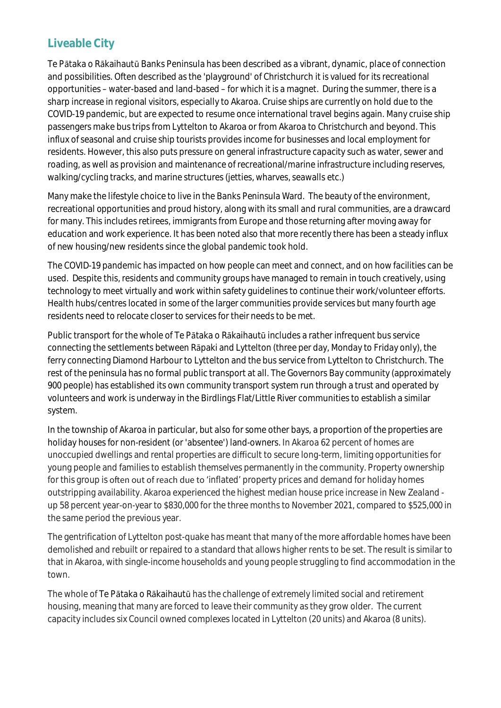### **Liveable City**

Te Pātaka o Rākaihautū Banks Peninsula has been described as a vibrant, dynamic, place of connection and possibilities. Often described as the 'playground' of Christchurch it is valued for its recreational opportunities – water-based and land-based – for which it is a magnet. During the summer, there is a sharp increase in regional visitors, especially to Akaroa. Cruise ships are currently on hold due to the COVID-19 pandemic, but are expected to resume once international travel begins again. Many cruise ship passengers make bus trips from Lyttelton to Akaroa or from Akaroa to Christchurch and beyond. This influx of seasonal and cruise ship tourists provides income for businesses and local employment for residents. However, this also puts pressure on general infrastructure capacity such as water, sewer and roading, as well as provision and maintenance of recreational/marine infrastructure including reserves, walking/cycling tracks, and marine structures (jetties, wharves, seawalls etc.)

Many make the lifestyle choice to live in the Banks Peninsula Ward. The beauty of the environment, recreational opportunities and proud history, along with its small and rural communities, are a drawcard for many. This includes retirees, immigrants from Europe and those returning after moving away for education and work experience. It has been noted also that more recently there has been a steady influx of new housing/new residents since the global pandemic took hold.

The COVID-19 pandemic has impacted on how people can meet and connect, and on how facilities can be used. Despite this, residents and community groups have managed to remain in touch creatively, using technology to meet virtually and work within safety guidelines to continue their work/volunteer efforts. Health hubs/centres located in some of the larger communities provide services but many fourth age residents need to relocate closer to services for their needs to be met.

Public transport for the whole of Te Pātaka o Rākaihautū includes a rather infrequent bus service connecting the settlements between Rāpaki and Lyttelton (three per day, Monday to Friday only), the ferry connecting Diamond Harbour to Lyttelton and the bus service from Lyttelton to Christchurch. The rest of the peninsula has no formal public transport at all. The Governors Bay community (approximately 900 people) has established its own community transport system run through a trust and operated by volunteers and work is underway in the Birdlings Flat/Little River communities to establish a similar system.

In the township of Akaroa in particular, but also for some other bays, a proportion of the properties are holiday houses for non-resident (or 'absentee') land-owners. In Akaroa 62 percent of homes are unoccupied dwellings and rental properties are difficult to secure long-term, limiting opportunities for young people and families to establish themselves permanently in the community. Property ownership for this group is often out of reach due to 'inflated' property prices and demand for holiday homes outstripping availability. Akaroa experienced the highest median house price increase in New Zealand up 58 percent year-on-year to \$830,000 for the three months to November 2021, compared to \$525,000 in the same period the previous year.

The gentrification of Lyttelton post-quake has meant that many of the more affordable homes have been demolished and rebuilt or repaired to a standard that allows higher rents to be set. The result is similar to that in Akaroa, with single-income households and young people struggling to find accommodation in the town.

The whole of Te Pātaka o Rākaihautū has the challenge of extremely limited social and retirement housing, meaning that many are forced to leave their community as they grow older. The current capacity includes six Council owned complexes located in Lyttelton (20 units) and Akaroa (8 units).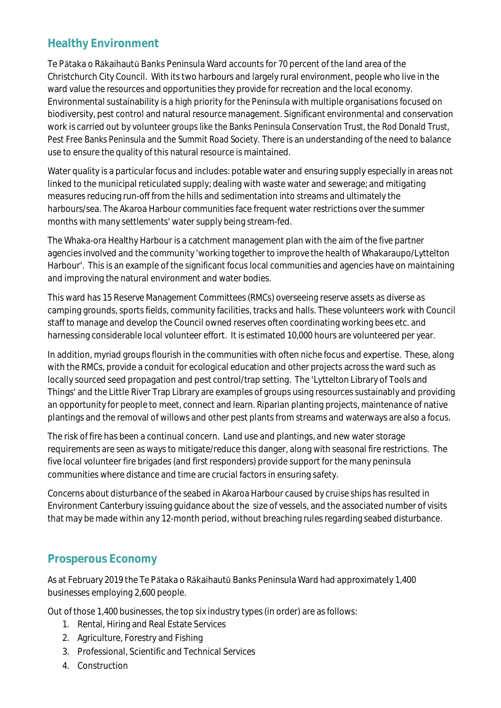### **Healthy Environment**

Te Pātaka o Rākaihautū Banks Peninsula Ward accounts for 70 percent of the land area of the Christchurch City Council. With its two harbours and largely rural environment, people who live in the ward value the resources and opportunities they provide for recreation and the local economy. Environmental sustainability is a high priority for the Peninsula with multiple organisations focused on biodiversity, pest control and natural resource management. Significant environmental and conservation work is carried out by volunteer groups like the Banks Peninsula Conservation Trust, the Rod Donald Trust, Pest Free Banks Peninsula and the Summit Road Society. There is an understanding of the need to balance use to ensure the quality of this natural resource is maintained.

Water quality is a particular focus and includes: potable water and ensuring supply especially in areas not linked to the municipal reticulated supply; dealing with waste water and sewerage; and mitigating measures reducing run-off from the hills and sedimentation into streams and ultimately the harbours/sea. The Akaroa Harbour communities face frequent water restrictions over the summer months with many settlements' water supply being stream-fed.

The Whaka-ora Healthy Harbour is a catchment management plan with the aim of the five partner agencies involved and the community 'working together to improve the health of Whakaraupo/Lyttelton Harbour'. This is an example of the significant focus local communities and agencies have on maintaining and improving the natural environment and water bodies.

This ward has 15 Reserve Management Committees (RMCs) overseeing reserve assets as diverse as camping grounds, sports fields, community facilities, tracks and halls. These volunteers work with Council staff to manage and develop the Council owned reserves often coordinating working bees etc. and harnessing considerable local volunteer effort. It is estimated 10,000 hours are volunteered per year.

In addition, myriad groups flourish in the communities with often niche focus and expertise. These, along with the RMCs, provide a conduit for ecological education and other projects across the ward such as locally sourced seed propagation and pest control/trap setting. The 'Lyttelton Library of Tools and Things' and the Little River Trap Library are examples of groups using resources sustainably and providing an opportunity for people to meet, connect and learn. Riparian planting projects, maintenance of native plantings and the removal of willows and other pest plants from streams and waterways are also a focus.

The risk of fire has been a continual concern. Land use and plantings, and new water storage requirements are seen as ways to mitigate/reduce this danger, along with seasonal fire restrictions. The five local volunteer fire brigades (and first responders) provide support for the many peninsula communities where distance and time are crucial factors in ensuring safety.

Concerns about disturbance of the seabed in Akaroa Harbour caused by cruise ships has resulted in Environment Canterbury issuing guidance about the size of vessels, and the associated number of visits that may be made within any 12-month period, without breaching rules regarding seabed disturbance.

### **Prosperous Economy**

As at February 2019 the Te Pātaka o Rākaihautū Banks Peninsula Ward had approximately 1,400 businesses employing 2,600 people.

Out of those 1,400 businesses, the top six industry types (in order) are as follows:

- 1. Rental, Hiring and Real Estate Services
- 2. Agriculture, Forestry and Fishing
- 3. Professional, Scientific and Technical Services
- 4. Construction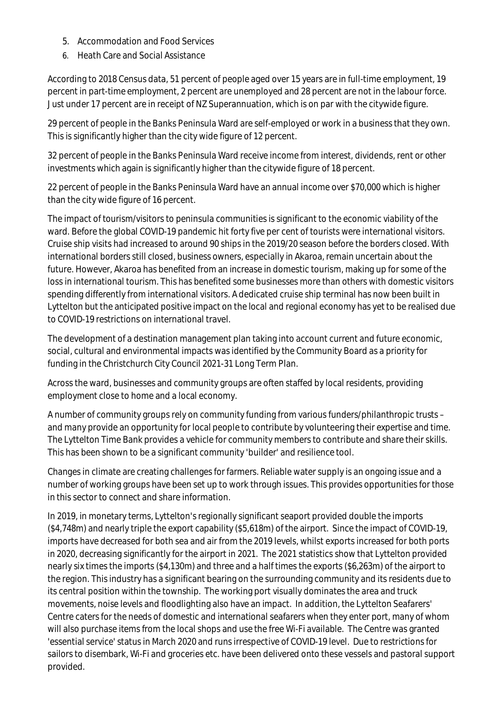- 5. Accommodation and Food Services
- 6. Heath Care and Social Assistance

According to 2018 Census data, 51 percent of people aged over 15 years are in full-time employment, 19 percent in part-time employment, 2 percent are unemployed and 28 percent are not in the labour force. Just under 17 percent are in receipt of NZ Superannuation, which is on par with the citywide figure.

29 percent of people in the Banks Peninsula Ward are self-employed or work in a business that they own. This is significantly higher than the city wide figure of 12 percent.

32 percent of people in the Banks Peninsula Ward receive income from interest, dividends, rent or other investments which again is significantly higher than the citywide figure of 18 percent.

22 percent of people in the Banks Peninsula Ward have an annual income over \$70,000 which is higher than the city wide figure of 16 percent.

The impact of tourism/visitors to peninsula communities is significant to the economic viability of the ward. Before the global COVID-19 pandemic hit forty five per cent of tourists were international visitors. Cruise ship visits had increased to around 90 ships in the 2019/20 season before the borders closed. With international borders still closed, business owners, especially in Akaroa, remain uncertain about the future. However, Akaroa has benefited from an increase in domestic tourism, making up for some of the loss in international tourism. This has benefited some businesses more than others with domestic visitors spending differently from international visitors. A dedicated cruise ship terminal has now been built in Lyttelton but the anticipated positive impact on the local and regional economy has yet to be realised due to COVID-19 restrictions on international travel.

The development of a destination management plan taking into account current and future economic, social, cultural and environmental impacts was identified by the Community Board as a priority for funding in the Christchurch City Council 2021-31 Long Term Plan.

Across the ward, businesses and community groups are often staffed by local residents, providing employment close to home and a local economy.

A number of community groups rely on community funding from various funders/philanthropic trusts – and many provide an opportunity for local people to contribute by volunteering their expertise and time. The Lyttelton Time Bank provides a vehicle for community members to contribute and share their skills. This has been shown to be a significant community 'builder' and resilience tool.

Changes in climate are creating challenges for farmers. Reliable water supply is an ongoing issue and a number of working groups have been set up to work through issues. This provides opportunities for those in this sector to connect and share information.

In 2019, in monetary terms, Lyttelton's regionally significant seaport provided double the imports (\$4,748m) and nearly triple the export capability (\$5,618m) of the airport. Since the impact of COVID-19, imports have decreased for both sea and air from the 2019 levels, whilst exports increased for both ports in 2020, decreasing significantly for the airport in 2021. The 2021 statistics show that Lyttelton provided nearly six times the imports (\$4,130m) and three and a half times the exports (\$6,263m) of the airport to the region. This industry has a significant bearing on the surrounding community and its residents due to its central position within the township. The working port visually dominates the area and truck movements, noise levels and floodlighting also have an impact. In addition, the Lyttelton Seafarers' Centre caters for the needs of domestic and international seafarers when they enter port, many of whom will also purchase items from the local shops and use the free Wi-Fi available. The Centre was granted 'essential service' status in March 2020 and runs irrespective of COVID-19 level. Due to restrictions for sailors to disembark, Wi-Fi and groceries etc. have been delivered onto these vessels and pastoral support provided.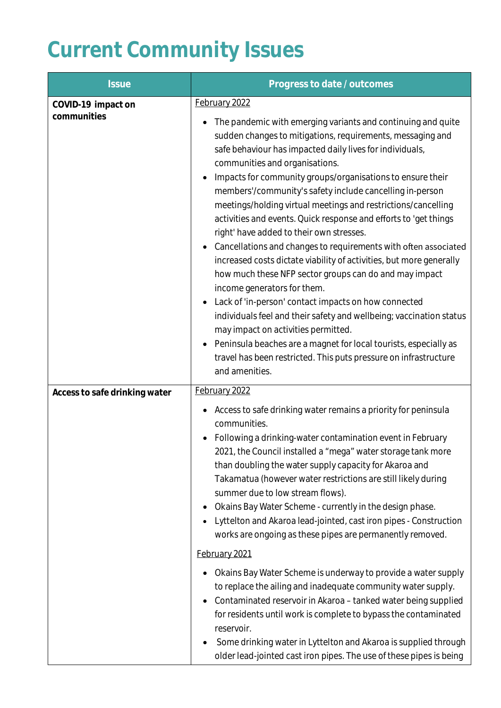# **Current Community Issues**

| <b>Issue</b>                      | Progress to date / outcomes                                                                                                                                                                                                                                                                                                                                                                                                                                                                                                                                                                                                                                                                                                                                                                                                                                                                                                                                                                                                                                                                                        |
|-----------------------------------|--------------------------------------------------------------------------------------------------------------------------------------------------------------------------------------------------------------------------------------------------------------------------------------------------------------------------------------------------------------------------------------------------------------------------------------------------------------------------------------------------------------------------------------------------------------------------------------------------------------------------------------------------------------------------------------------------------------------------------------------------------------------------------------------------------------------------------------------------------------------------------------------------------------------------------------------------------------------------------------------------------------------------------------------------------------------------------------------------------------------|
| COVID-19 impact on<br>communities | February 2022<br>The pandemic with emerging variants and continuing and quite<br>sudden changes to mitigations, requirements, messaging and<br>safe behaviour has impacted daily lives for individuals,<br>communities and organisations.<br>Impacts for community groups/organisations to ensure their<br>members'/community's safety include cancelling in-person<br>meetings/holding virtual meetings and restrictions/cancelling<br>activities and events. Quick response and efforts to 'get things<br>right' have added to their own stresses.<br>Cancellations and changes to requirements with often associated<br>$\bullet$<br>increased costs dictate viability of activities, but more generally<br>how much these NFP sector groups can do and may impact<br>income generators for them.<br>Lack of 'in-person' contact impacts on how connected<br>individuals feel and their safety and wellbeing; vaccination status<br>may impact on activities permitted.<br>Peninsula beaches are a magnet for local tourists, especially as<br>travel has been restricted. This puts pressure on infrastructure |
| Access to safe drinking water     | and amenities.<br>February 2022                                                                                                                                                                                                                                                                                                                                                                                                                                                                                                                                                                                                                                                                                                                                                                                                                                                                                                                                                                                                                                                                                    |
|                                   | Access to safe drinking water remains a priority for peninsula<br>communities.<br>Following a drinking-water contamination event in February<br>2021, the Council installed a "mega" water storage tank more<br>than doubling the water supply capacity for Akaroa and<br>Takamatua (however water restrictions are still likely during<br>summer due to low stream flows).<br>Okains Bay Water Scheme - currently in the design phase.<br>Lyttelton and Akaroa lead-jointed, cast iron pipes - Construction<br>works are ongoing as these pipes are permanently removed.                                                                                                                                                                                                                                                                                                                                                                                                                                                                                                                                          |
|                                   | February 2021                                                                                                                                                                                                                                                                                                                                                                                                                                                                                                                                                                                                                                                                                                                                                                                                                                                                                                                                                                                                                                                                                                      |
|                                   | Okains Bay Water Scheme is underway to provide a water supply<br>to replace the ailing and inadequate community water supply.<br>Contaminated reservoir in Akaroa - tanked water being supplied<br>$\bullet$<br>for residents until work is complete to bypass the contaminated<br>reservoir.<br>Some drinking water in Lyttelton and Akaroa is supplied through<br>older lead-jointed cast iron pipes. The use of these pipes is being                                                                                                                                                                                                                                                                                                                                                                                                                                                                                                                                                                                                                                                                            |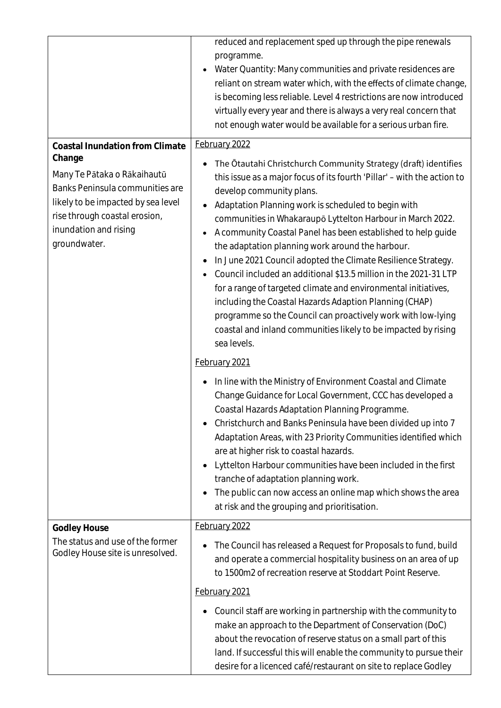|                                                                                                                                                                                                                                    | reduced and replacement sped up through the pipe renewals<br>programme.<br>Water Quantity: Many communities and private residences are<br>reliant on stream water which, with the effects of climate change,<br>is becoming less reliable. Level 4 restrictions are now introduced<br>virtually every year and there is always a very real concern that<br>not enough water would be available for a serious urban fire.                                                                                                                                                                                                                                                                                                                                                                                                                           |
|------------------------------------------------------------------------------------------------------------------------------------------------------------------------------------------------------------------------------------|----------------------------------------------------------------------------------------------------------------------------------------------------------------------------------------------------------------------------------------------------------------------------------------------------------------------------------------------------------------------------------------------------------------------------------------------------------------------------------------------------------------------------------------------------------------------------------------------------------------------------------------------------------------------------------------------------------------------------------------------------------------------------------------------------------------------------------------------------|
| <b>Coastal Inundation from Climate</b><br>Change<br>Many Te Pātaka o Rākaihautū<br>Banks Peninsula communities are<br>likely to be impacted by sea level<br>rise through coastal erosion,<br>inundation and rising<br>groundwater. | February 2022<br>The Otautahi Christchurch Community Strategy (draft) identifies<br>this issue as a major focus of its fourth 'Pillar' - with the action to<br>develop community plans.<br>Adaptation Planning work is scheduled to begin with<br>communities in Whakaraupō Lyttelton Harbour in March 2022.<br>A community Coastal Panel has been established to help guide<br>the adaptation planning work around the harbour.<br>In June 2021 Council adopted the Climate Resilience Strategy.<br>Council included an additional \$13.5 million in the 2021-31 LTP<br>for a range of targeted climate and environmental initiatives,<br>including the Coastal Hazards Adaption Planning (CHAP)<br>programme so the Council can proactively work with low-lying<br>coastal and inland communities likely to be impacted by rising<br>sea levels. |
|                                                                                                                                                                                                                                    | February 2021                                                                                                                                                                                                                                                                                                                                                                                                                                                                                                                                                                                                                                                                                                                                                                                                                                      |
|                                                                                                                                                                                                                                    | In line with the Ministry of Environment Coastal and Climate<br>Change Guidance for Local Government, CCC has developed a<br>Coastal Hazards Adaptation Planning Programme.<br>Christchurch and Banks Peninsula have been divided up into 7<br>Adaptation Areas, with 23 Priority Communities identified which<br>are at higher risk to coastal hazards.<br>Lyttelton Harbour communities have been included in the first<br>tranche of adaptation planning work.<br>The public can now access an online map which shows the area<br>at risk and the grouping and prioritisation.                                                                                                                                                                                                                                                                  |
| <b>Godley House</b>                                                                                                                                                                                                                | February 2022                                                                                                                                                                                                                                                                                                                                                                                                                                                                                                                                                                                                                                                                                                                                                                                                                                      |
| The status and use of the former<br>Godley House site is unresolved.                                                                                                                                                               | The Council has released a Request for Proposals to fund, build<br>and operate a commercial hospitality business on an area of up<br>to 1500m2 of recreation reserve at Stoddart Point Reserve.                                                                                                                                                                                                                                                                                                                                                                                                                                                                                                                                                                                                                                                    |
|                                                                                                                                                                                                                                    | February 2021                                                                                                                                                                                                                                                                                                                                                                                                                                                                                                                                                                                                                                                                                                                                                                                                                                      |
|                                                                                                                                                                                                                                    | Council staff are working in partnership with the community to<br>make an approach to the Department of Conservation (DoC)<br>about the revocation of reserve status on a small part of this<br>land. If successful this will enable the community to pursue their<br>desire for a licenced café/restaurant on site to replace Godley                                                                                                                                                                                                                                                                                                                                                                                                                                                                                                              |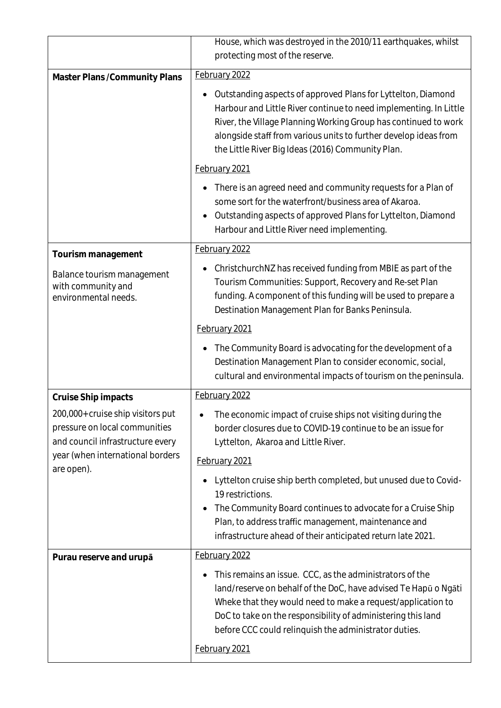|                                                                                                        | House, which was destroyed in the 2010/11 earthquakes, whilst<br>protecting most of the reserve.                                                                                                                                                                                                                              |
|--------------------------------------------------------------------------------------------------------|-------------------------------------------------------------------------------------------------------------------------------------------------------------------------------------------------------------------------------------------------------------------------------------------------------------------------------|
| Master Plans / Community Plans                                                                         | February 2022                                                                                                                                                                                                                                                                                                                 |
|                                                                                                        | Outstanding aspects of approved Plans for Lyttelton, Diamond<br>Harbour and Little River continue to need implementing. In Little<br>River, the Village Planning Working Group has continued to work<br>alongside staff from various units to further develop ideas from<br>the Little River Big Ideas (2016) Community Plan. |
|                                                                                                        | February 2021                                                                                                                                                                                                                                                                                                                 |
|                                                                                                        | There is an agreed need and community requests for a Plan of<br>some sort for the waterfront/business area of Akaroa.<br>Outstanding aspects of approved Plans for Lyttelton, Diamond<br>Harbour and Little River need implementing.                                                                                          |
| Tourism management                                                                                     | February 2022                                                                                                                                                                                                                                                                                                                 |
| Balance tourism management<br>with community and<br>environmental needs.                               | ChristchurchNZ has received funding from MBIE as part of the<br>Tourism Communities: Support, Recovery and Re-set Plan<br>funding. A component of this funding will be used to prepare a<br>Destination Management Plan for Banks Peninsula.                                                                                  |
|                                                                                                        | February 2021                                                                                                                                                                                                                                                                                                                 |
|                                                                                                        | The Community Board is advocating for the development of a<br>Destination Management Plan to consider economic, social,<br>cultural and environmental impacts of tourism on the peninsula.                                                                                                                                    |
| Cruise Ship impacts                                                                                    | February 2022                                                                                                                                                                                                                                                                                                                 |
| 200,000+ cruise ship visitors put<br>pressure on local communities<br>and council infrastructure every | The economic impact of cruise ships not visiting during the<br>border closures due to COVID-19 continue to be an issue for<br>Lyttelton, Akaroa and Little River.                                                                                                                                                             |
| year (when international borders<br>are open).                                                         | February 2021                                                                                                                                                                                                                                                                                                                 |
|                                                                                                        | Lyttelton cruise ship berth completed, but unused due to Covid-<br>19 restrictions.<br>The Community Board continues to advocate for a Cruise Ship<br>Plan, to address traffic management, maintenance and<br>infrastructure ahead of their anticipated return late 2021.                                                     |
| Purau reserve and urupa                                                                                | February 2022                                                                                                                                                                                                                                                                                                                 |
|                                                                                                        | This remains an issue. CCC, as the administrators of the<br>land/reserve on behalf of the DoC, have advised Te Hapū o Ngāti<br>Wheke that they would need to make a request/application to<br>DoC to take on the responsibility of administering this land<br>before CCC could relinquish the administrator duties.           |
|                                                                                                        | February 2021                                                                                                                                                                                                                                                                                                                 |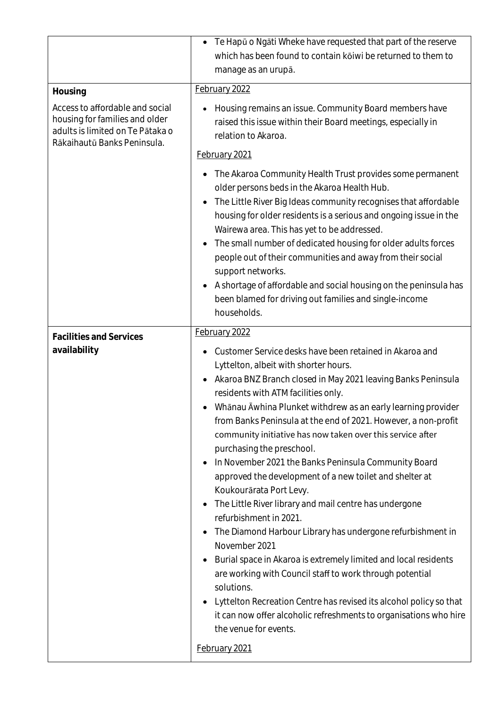|                                                                                                                                      | Te Hapū o Ngāti Wheke have requested that part of the reserve<br>which has been found to contain kōiwi be returned to them to<br>manage as an urupā.                                                                                                                                                                                                                                                                                                                                                                                                                                                                                                                                                                                                                                                                                                                                                                                                                                                                                                                                                      |
|--------------------------------------------------------------------------------------------------------------------------------------|-----------------------------------------------------------------------------------------------------------------------------------------------------------------------------------------------------------------------------------------------------------------------------------------------------------------------------------------------------------------------------------------------------------------------------------------------------------------------------------------------------------------------------------------------------------------------------------------------------------------------------------------------------------------------------------------------------------------------------------------------------------------------------------------------------------------------------------------------------------------------------------------------------------------------------------------------------------------------------------------------------------------------------------------------------------------------------------------------------------|
| Housing                                                                                                                              | February 2022                                                                                                                                                                                                                                                                                                                                                                                                                                                                                                                                                                                                                                                                                                                                                                                                                                                                                                                                                                                                                                                                                             |
| Access to affordable and social<br>housing for families and older<br>adults is limited on Te Pātaka o<br>Rākaihautū Banks Peninsula. | Housing remains an issue. Community Board members have<br>raised this issue within their Board meetings, especially in<br>relation to Akaroa.                                                                                                                                                                                                                                                                                                                                                                                                                                                                                                                                                                                                                                                                                                                                                                                                                                                                                                                                                             |
|                                                                                                                                      | February 2021                                                                                                                                                                                                                                                                                                                                                                                                                                                                                                                                                                                                                                                                                                                                                                                                                                                                                                                                                                                                                                                                                             |
|                                                                                                                                      | The Akaroa Community Health Trust provides some permanent<br>older persons beds in the Akaroa Health Hub.<br>The Little River Big Ideas community recognises that affordable<br>housing for older residents is a serious and ongoing issue in the<br>Wairewa area. This has yet to be addressed.<br>The small number of dedicated housing for older adults forces<br>people out of their communities and away from their social<br>support networks.<br>A shortage of affordable and social housing on the peninsula has<br>$\bullet$<br>been blamed for driving out families and single-income<br>households.                                                                                                                                                                                                                                                                                                                                                                                                                                                                                            |
| <b>Facilities and Services</b>                                                                                                       | February 2022                                                                                                                                                                                                                                                                                                                                                                                                                                                                                                                                                                                                                                                                                                                                                                                                                                                                                                                                                                                                                                                                                             |
| availability                                                                                                                         | Customer Service desks have been retained in Akaroa and<br>Lyttelton, albeit with shorter hours.<br>Akaroa BNZ Branch closed in May 2021 leaving Banks Peninsula<br>residents with ATM facilities only.<br>Whānau Āwhina Plunket withdrew as an early learning provider<br>from Banks Peninsula at the end of 2021. However, a non-profit<br>community initiative has now taken over this service after<br>purchasing the preschool.<br>In November 2021 the Banks Peninsula Community Board<br>approved the development of a new toilet and shelter at<br>Koukourārata Port Levy.<br>The Little River library and mail centre has undergone<br>٠<br>refurbishment in 2021.<br>The Diamond Harbour Library has undergone refurbishment in<br>$\bullet$<br>November 2021<br>Burial space in Akaroa is extremely limited and local residents<br>are working with Council staff to work through potential<br>solutions.<br>Lyttelton Recreation Centre has revised its alcohol policy so that<br>it can now offer alcoholic refreshments to organisations who hire<br>the venue for events.<br>February 2021 |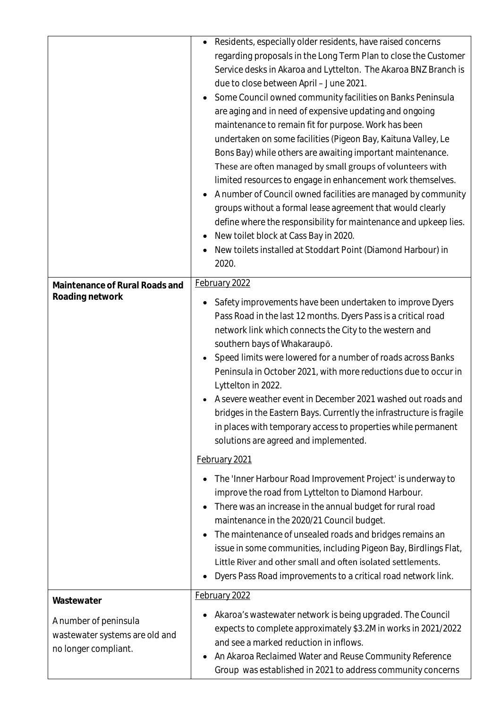|                                                                                               | Residents, especially older residents, have raised concerns<br>regarding proposals in the Long Term Plan to close the Customer<br>Service desks in Akaroa and Lyttelton. The Akaroa BNZ Branch is<br>due to close between April - June 2021.<br>Some Council owned community facilities on Banks Peninsula<br>are aging and in need of expensive updating and ongoing<br>maintenance to remain fit for purpose. Work has been<br>undertaken on some facilities (Pigeon Bay, Kaituna Valley, Le<br>Bons Bay) while others are awaiting important maintenance.<br>These are often managed by small groups of volunteers with<br>limited resources to engage in enhancement work themselves.<br>A number of Council owned facilities are managed by community<br>groups without a formal lease agreement that would clearly<br>define where the responsibility for maintenance and upkeep lies.<br>New toilet block at Cass Bay in 2020.<br>New toilets installed at Stoddart Point (Diamond Harbour) in<br>$\bullet$<br>2020. |
|-----------------------------------------------------------------------------------------------|-----------------------------------------------------------------------------------------------------------------------------------------------------------------------------------------------------------------------------------------------------------------------------------------------------------------------------------------------------------------------------------------------------------------------------------------------------------------------------------------------------------------------------------------------------------------------------------------------------------------------------------------------------------------------------------------------------------------------------------------------------------------------------------------------------------------------------------------------------------------------------------------------------------------------------------------------------------------------------------------------------------------------------|
| Maintenance of Rural Roads and<br>Roading network                                             | February 2022<br>Safety improvements have been undertaken to improve Dyers<br>Pass Road in the last 12 months. Dyers Pass is a critical road<br>network link which connects the City to the western and<br>southern bays of Whakaraupō.<br>Speed limits were lowered for a number of roads across Banks<br>Peninsula in October 2021, with more reductions due to occur in<br>Lyttelton in 2022.<br>A severe weather event in December 2021 washed out roads and<br>bridges in the Eastern Bays. Currently the infrastructure is fragile<br>in places with temporary access to properties while permanent<br>solutions are agreed and implemented.                                                                                                                                                                                                                                                                                                                                                                          |
|                                                                                               | February 2021<br>The 'Inner Harbour Road Improvement Project' is underway to<br>improve the road from Lyttelton to Diamond Harbour.<br>There was an increase in the annual budget for rural road<br>maintenance in the 2020/21 Council budget.<br>The maintenance of unsealed roads and bridges remains an<br>issue in some communities, including Pigeon Bay, Birdlings Flat,<br>Little River and other small and often isolated settlements.<br>Dyers Pass Road improvements to a critical road network link.                                                                                                                                                                                                                                                                                                                                                                                                                                                                                                             |
| Wastewater<br>A number of peninsula<br>wastewater systems are old and<br>no longer compliant. | February 2022<br>Akaroa's wastewater network is being upgraded. The Council<br>expects to complete approximately \$3.2M in works in 2021/2022<br>and see a marked reduction in inflows.<br>An Akaroa Reclaimed Water and Reuse Community Reference<br>٠<br>Group was established in 2021 to address community concerns                                                                                                                                                                                                                                                                                                                                                                                                                                                                                                                                                                                                                                                                                                      |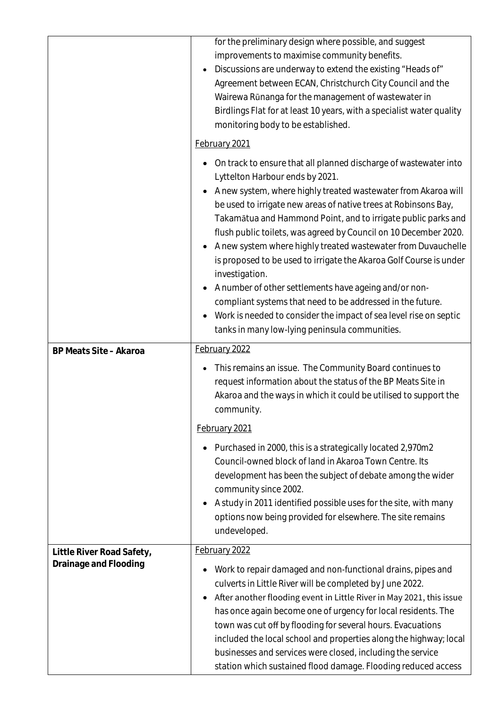|                           | for the preliminary design where possible, and suggest<br>improvements to maximise community benefits.<br>Discussions are underway to extend the existing "Heads of"<br>Agreement between ECAN, Christchurch City Council and the<br>Wairewa Rūnanga for the management of wastewater in<br>Birdlings Flat for at least 10 years, with a specialist water quality<br>monitoring body to be established.<br>February 2021                                                                                                                                                                                                                                                                                                                |
|---------------------------|-----------------------------------------------------------------------------------------------------------------------------------------------------------------------------------------------------------------------------------------------------------------------------------------------------------------------------------------------------------------------------------------------------------------------------------------------------------------------------------------------------------------------------------------------------------------------------------------------------------------------------------------------------------------------------------------------------------------------------------------|
|                           | On track to ensure that all planned discharge of wastewater into<br>٠<br>Lyttelton Harbour ends by 2021.<br>A new system, where highly treated wastewater from Akaroa will<br>be used to irrigate new areas of native trees at Robinsons Bay,<br>Takamātua and Hammond Point, and to irrigate public parks and<br>flush public toilets, was agreed by Council on 10 December 2020.<br>A new system where highly treated wastewater from Duvauchelle<br>is proposed to be used to irrigate the Akaroa Golf Course is under<br>investigation.<br>A number of other settlements have ageing and/or non-<br>compliant systems that need to be addressed in the future.<br>Work is needed to consider the impact of sea level rise on septic |
|                           | tanks in many low-lying peninsula communities.<br>February 2022                                                                                                                                                                                                                                                                                                                                                                                                                                                                                                                                                                                                                                                                         |
| BP Meats Site - Akaroa    | This remains an issue. The Community Board continues to<br>request information about the status of the BP Meats Site in<br>Akaroa and the ways in which it could be utilised to support the<br>community.                                                                                                                                                                                                                                                                                                                                                                                                                                                                                                                               |
|                           | February 2021                                                                                                                                                                                                                                                                                                                                                                                                                                                                                                                                                                                                                                                                                                                           |
|                           | Purchased in 2000, this is a strategically located 2,970m2<br>٠<br>Council-owned block of land in Akaroa Town Centre. Its<br>development has been the subject of debate among the wider<br>community since 2002.<br>A study in 2011 identified possible uses for the site, with many<br>options now being provided for elsewhere. The site remains<br>undeveloped.                                                                                                                                                                                                                                                                                                                                                                      |
| Little River Road Safety, | February 2022                                                                                                                                                                                                                                                                                                                                                                                                                                                                                                                                                                                                                                                                                                                           |
| Drainage and Flooding     | Work to repair damaged and non-functional drains, pipes and<br>culverts in Little River will be completed by June 2022.<br>After another flooding event in Little River in May 2021, this issue<br>$\bullet$<br>has once again become one of urgency for local residents. The<br>town was cut off by flooding for several hours. Evacuations<br>included the local school and properties along the highway; local<br>businesses and services were closed, including the service<br>station which sustained flood damage. Flooding reduced access                                                                                                                                                                                        |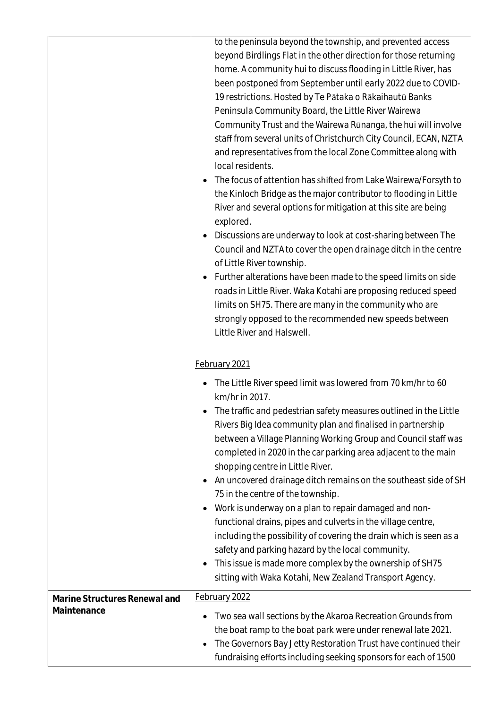|                                              | to the peninsula beyond the township, and prevented access<br>beyond Birdlings Flat in the other direction for those returning<br>home. A community hui to discuss flooding in Little River, has<br>been postponed from September until early 2022 due to COVID-<br>19 restrictions. Hosted by Te Pātaka o Rākaihautū Banks<br>Peninsula Community Board, the Little River Wairewa<br>Community Trust and the Wairewa Rūnanga, the hui will involve<br>staff from several units of Christchurch City Council, ECAN, NZTA<br>and representatives from the local Zone Committee along with<br>local residents.<br>The focus of attention has shifted from Lake Wairewa/Forsyth to<br>the Kinloch Bridge as the major contributor to flooding in Little<br>River and several options for mitigation at this site are being<br>explored.<br>Discussions are underway to look at cost-sharing between The<br>$\bullet$<br>Council and NZTA to cover the open drainage ditch in the centre<br>of Little River township.<br>Further alterations have been made to the speed limits on side<br>roads in Little River. Waka Kotahi are proposing reduced speed<br>limits on SH75. There are many in the community who are<br>strongly opposed to the recommended new speeds between<br>Little River and Halswell. |
|----------------------------------------------|----------------------------------------------------------------------------------------------------------------------------------------------------------------------------------------------------------------------------------------------------------------------------------------------------------------------------------------------------------------------------------------------------------------------------------------------------------------------------------------------------------------------------------------------------------------------------------------------------------------------------------------------------------------------------------------------------------------------------------------------------------------------------------------------------------------------------------------------------------------------------------------------------------------------------------------------------------------------------------------------------------------------------------------------------------------------------------------------------------------------------------------------------------------------------------------------------------------------------------------------------------------------------------------------------------|
|                                              | February 2021<br>The Little River speed limit was lowered from 70 km/hr to 60<br>km/hr in 2017.<br>• The traffic and pedestrian safety measures outlined in the Little<br>Rivers Big Idea community plan and finalised in partnership<br>between a Village Planning Working Group and Council staff was<br>completed in 2020 in the car parking area adjacent to the main<br>shopping centre in Little River.<br>An uncovered drainage ditch remains on the southeast side of SH<br>75 in the centre of the township.<br>Work is underway on a plan to repair damaged and non-<br>functional drains, pipes and culverts in the village centre,<br>including the possibility of covering the drain which is seen as a<br>safety and parking hazard by the local community.<br>This issue is made more complex by the ownership of SH75<br>$\bullet$<br>sitting with Waka Kotahi, New Zealand Transport Agency.                                                                                                                                                                                                                                                                                                                                                                                            |
| Marine Structures Renewal and<br>Maintenance | February 2022<br>Two sea wall sections by the Akaroa Recreation Grounds from<br>the boat ramp to the boat park were under renewal late 2021.<br>The Governors Bay Jetty Restoration Trust have continued their<br>$\bullet$<br>fundraising efforts including seeking sponsors for each of 1500                                                                                                                                                                                                                                                                                                                                                                                                                                                                                                                                                                                                                                                                                                                                                                                                                                                                                                                                                                                                           |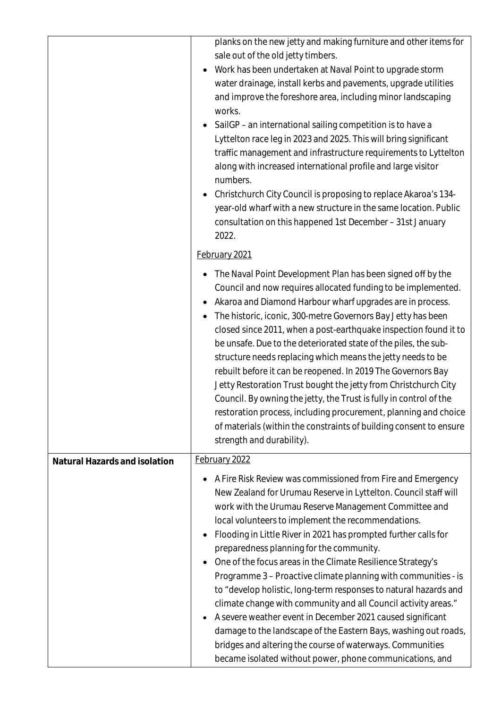|                               | planks on the new jetty and making furniture and other items for<br>sale out of the old jetty timbers.<br>Work has been undertaken at Naval Point to upgrade storm<br>water drainage, install kerbs and pavements, upgrade utilities<br>and improve the foreshore area, including minor landscaping<br>works.<br>SailGP-an international sailing competition is to have a<br>Lyttelton race leg in 2023 and 2025. This will bring significant<br>traffic management and infrastructure requirements to Lyttelton<br>along with increased international profile and large visitor<br>numbers.<br>Christchurch City Council is proposing to replace Akaroa's 134-<br>year-old wharf with a new structure in the same location. Public<br>consultation on this happened 1st December - 31st January<br>2022.                                                                                     |
|-------------------------------|-----------------------------------------------------------------------------------------------------------------------------------------------------------------------------------------------------------------------------------------------------------------------------------------------------------------------------------------------------------------------------------------------------------------------------------------------------------------------------------------------------------------------------------------------------------------------------------------------------------------------------------------------------------------------------------------------------------------------------------------------------------------------------------------------------------------------------------------------------------------------------------------------|
|                               | February 2021                                                                                                                                                                                                                                                                                                                                                                                                                                                                                                                                                                                                                                                                                                                                                                                                                                                                                 |
|                               | The Naval Point Development Plan has been signed off by the<br>Council and now requires allocated funding to be implemented.<br>Akaroa and Diamond Harbour wharf upgrades are in process.<br>The historic, iconic, 300-metre Governors Bay Jetty has been<br>closed since 2011, when a post-earthquake inspection found it to<br>be unsafe. Due to the deteriorated state of the piles, the sub-<br>structure needs replacing which means the jetty needs to be<br>rebuilt before it can be reopened. In 2019 The Governors Bay<br>Jetty Restoration Trust bought the jetty from Christchurch City<br>Council. By owning the jetty, the Trust is fully in control of the<br>restoration process, including procurement, planning and choice<br>of materials (within the constraints of building consent to ensure<br>strength and durability).                                                |
| Natural Hazards and isolation | February 2022                                                                                                                                                                                                                                                                                                                                                                                                                                                                                                                                                                                                                                                                                                                                                                                                                                                                                 |
|                               | A Fire Risk Review was commissioned from Fire and Emergency<br>New Zealand for Urumau Reserve in Lyttelton. Council staff will<br>work with the Urumau Reserve Management Committee and<br>local volunteers to implement the recommendations.<br>Flooding in Little River in 2021 has prompted further calls for<br>preparedness planning for the community.<br>One of the focus areas in the Climate Resilience Strategy's<br>Programme 3 - Proactive climate planning with communities - is<br>to "develop holistic, long-term responses to natural hazards and<br>climate change with community and all Council activity areas."<br>A severe weather event in December 2021 caused significant<br>damage to the landscape of the Eastern Bays, washing out roads,<br>bridges and altering the course of waterways. Communities<br>became isolated without power, phone communications, and |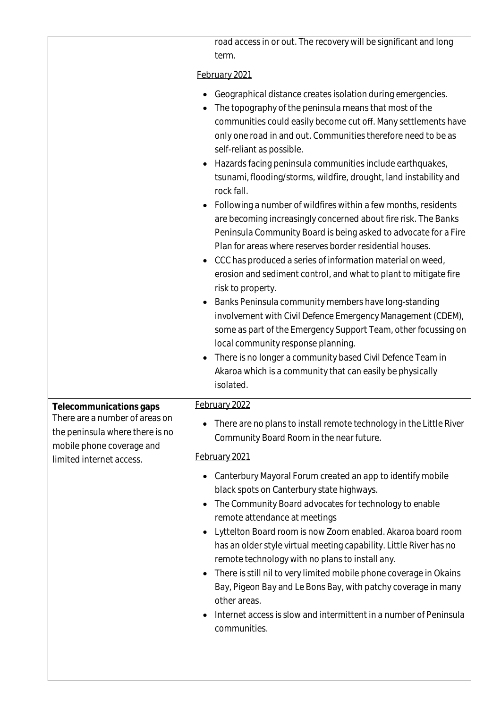|                                                                                                                            | road access in or out. The recovery will be significant and long<br>term.                                                                                                                                                                                                                                                                                                                                                                                                                                                                                                                                                                                                                                                                                                                                                                                                                                                                                                                                                                                                                                                                                                                                                                           |
|----------------------------------------------------------------------------------------------------------------------------|-----------------------------------------------------------------------------------------------------------------------------------------------------------------------------------------------------------------------------------------------------------------------------------------------------------------------------------------------------------------------------------------------------------------------------------------------------------------------------------------------------------------------------------------------------------------------------------------------------------------------------------------------------------------------------------------------------------------------------------------------------------------------------------------------------------------------------------------------------------------------------------------------------------------------------------------------------------------------------------------------------------------------------------------------------------------------------------------------------------------------------------------------------------------------------------------------------------------------------------------------------|
|                                                                                                                            | February 2021                                                                                                                                                                                                                                                                                                                                                                                                                                                                                                                                                                                                                                                                                                                                                                                                                                                                                                                                                                                                                                                                                                                                                                                                                                       |
|                                                                                                                            | Geographical distance creates isolation during emergencies.<br>The topography of the peninsula means that most of the<br>communities could easily become cut off. Many settlements have<br>only one road in and out. Communities therefore need to be as<br>self-reliant as possible.<br>Hazards facing peninsula communities include earthquakes,<br>$\bullet$<br>tsunami, flooding/storms, wildfire, drought, land instability and<br>rock fall.<br>Following a number of wildfires within a few months, residents<br>are becoming increasingly concerned about fire risk. The Banks<br>Peninsula Community Board is being asked to advocate for a Fire<br>Plan for areas where reserves border residential houses.<br>CCC has produced a series of information material on weed,<br>erosion and sediment control, and what to plant to mitigate fire<br>risk to property.<br>Banks Peninsula community members have long-standing<br>involvement with Civil Defence Emergency Management (CDEM),<br>some as part of the Emergency Support Team, other focussing on<br>local community response planning.<br>There is no longer a community based Civil Defence Team in<br>Akaroa which is a community that can easily be physically<br>isolated. |
| Telecommunications gaps                                                                                                    | February 2022                                                                                                                                                                                                                                                                                                                                                                                                                                                                                                                                                                                                                                                                                                                                                                                                                                                                                                                                                                                                                                                                                                                                                                                                                                       |
| There are a number of areas on<br>the peninsula where there is no<br>mobile phone coverage and<br>limited internet access. | There are no plans to install remote technology in the Little River<br>Community Board Room in the near future.                                                                                                                                                                                                                                                                                                                                                                                                                                                                                                                                                                                                                                                                                                                                                                                                                                                                                                                                                                                                                                                                                                                                     |
|                                                                                                                            | February 2021                                                                                                                                                                                                                                                                                                                                                                                                                                                                                                                                                                                                                                                                                                                                                                                                                                                                                                                                                                                                                                                                                                                                                                                                                                       |
|                                                                                                                            | Canterbury Mayoral Forum created an app to identify mobile<br>black spots on Canterbury state highways.<br>The Community Board advocates for technology to enable<br>remote attendance at meetings<br>Lyttelton Board room is now Zoom enabled. Akaroa board room<br>$\bullet$<br>has an older style virtual meeting capability. Little River has no<br>remote technology with no plans to install any.<br>There is still nil to very limited mobile phone coverage in Okains<br>Bay, Pigeon Bay and Le Bons Bay, with patchy coverage in many<br>other areas.<br>Internet access is slow and intermittent in a number of Peninsula<br>communities.                                                                                                                                                                                                                                                                                                                                                                                                                                                                                                                                                                                                 |